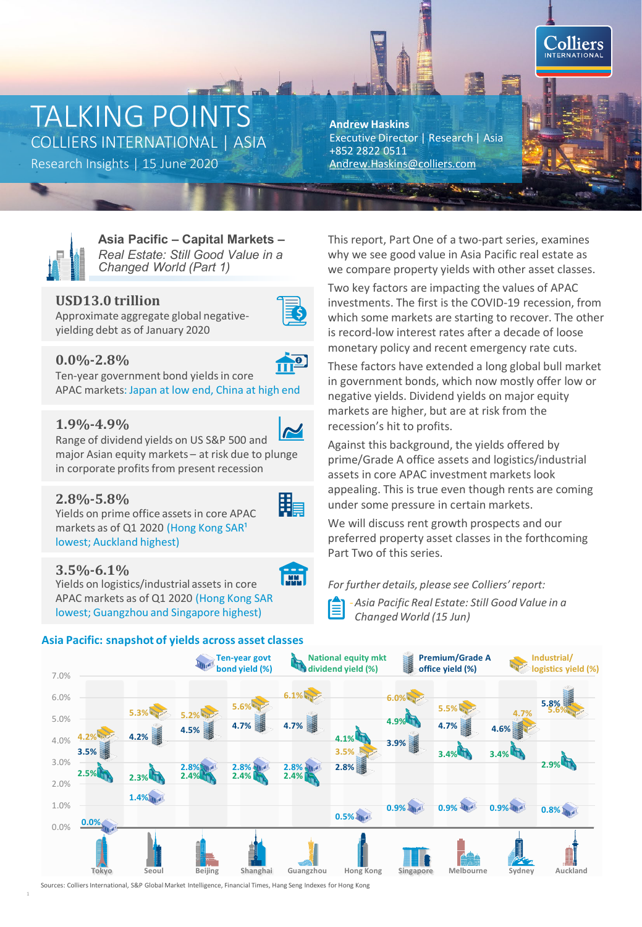# TALKING POINTS COLLIERS INTERNATIONAL | ASIA

Research Insights | 15 June 2020 [Andrew.Haskins@colliers.com](mailto:Andrew.Haskins@colliers.com)

**Andrew Haskins** Executive Director | Research | Asia +852 2822 0511



**Asia Pacific – Capital Markets –** *Real Estate: Still Good Value in a Changed World (Part 1)* 

# **USD13.0 trillion**



O

Approximate aggregate global negativeyielding debt as of January 2020

# **0.0%-2.8%**

Ten-year government bond yields in core APAC markets: Japan at low end, China at high end

# **1.9%-4.9%**

Range of dividend yields on US S&P 500 and major Asian equity markets – at risk due to plunge in corporate profits from present recession

# **2.8%-5.8%**

Yields on prime office assets in core APAC markets as of Q1 2020 (Hong Kong SAR<sup>1</sup> lowest; Auckland highest)

# **3.5%-6.1%**

Yields on logistics/industrial assets in core APAC markets as of Q1 2020 (Hong Kong SAR lowest; Guangzhou and Singapore highest)

### **Asia Pacific: snapshot of yields across asset classes**

This report, Part One of a two-part series, examines why we see good value in Asia Pacific real estate as we compare property yields with other asset classes.

Two key factors are impacting the values of APAC investments. The first is the COVID-19 recession, from which some markets are starting to recover. The other is record-low interest rates after a decade of loose monetary policy and recent emergency rate cuts.

These factors have extended a long global bull market in government bonds, which now mostly offer low or negative yields. Dividend yields on major equity markets are higher, but are at risk from the recession's hit to profits.

Against this background, the yields offered by prime/Grade A office assets and logistics/industrial assets in core APAC investment markets look appealing. This is true even though rents are coming under some pressure in certain markets.

We will discuss rent growth prospects and our preferred property asset classes in the forthcoming Part Two of this series.

*For further details, please see Colliers' report:*

-*Asia Pacific Real Estate: Still Good Value in a*  旨 *Changed World (15 Jun)*



Sources: Colliers International, S&P Global Market Intelligence, Financial Times, Hang Seng Indexes for Hong Kong



霝

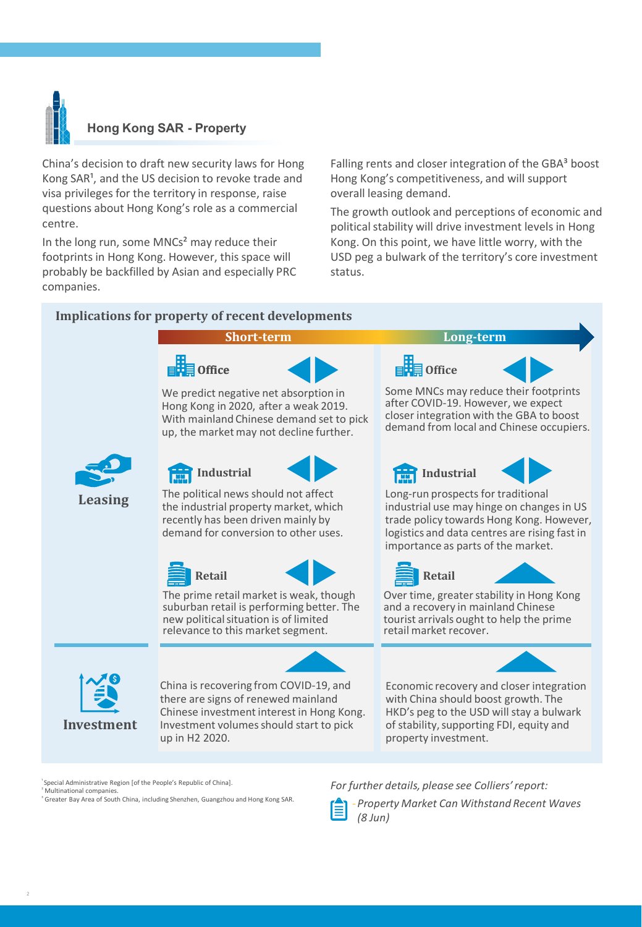

## **Hong Kong SAR - Property**

China's decision to draft new security laws for Hong Kong SAR<sup>1</sup>, and the US decision to revoke trade and visa privileges for the territory in response, raise questions about Hong Kong's role as a commercial centre.

In the long run, some MNCs<sup>2</sup> may reduce their footprints in Hong Kong. However, this space will probably be backfilled by Asian and especially PRC companies.

Falling rents and closer integration of the GBA<sup>3</sup> boost Hong Kong's competitiveness, and will support overall leasing demand.

The growth outlook and perceptions of economic and political stability will drive investment levels in Hong Kong. On this point, we have little worry, with the USD peg a bulwark of the territory's core investment status.

### **Implications for property of recent developments**



Special Administrative Region [of the People's Republic of China]. Multinational companies

<sup>³</sup> Greater Bay Area of South China, including Shenzhen, Guangzhou and Hong Kong SAR.

*For further details, please see Colliers' report:*



-*Property Market Can Withstand Recent Waves (8 Jun)*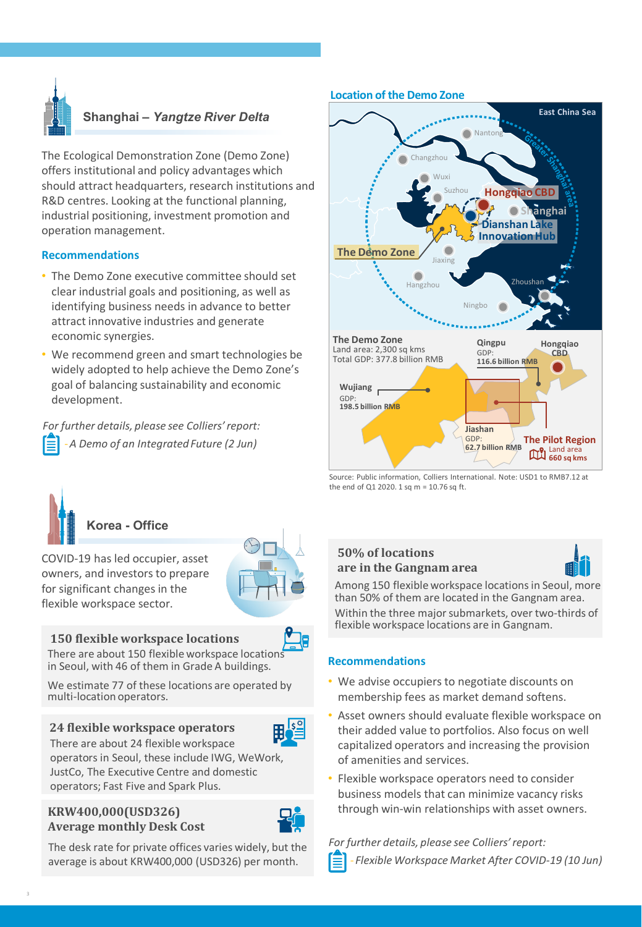

# **Shanghai –** *Yangtze River Delta*

The Ecological Demonstration Zone (Demo Zone) offers institutional and policy advantages which should attract headquarters, research institutions and R&D centres. Looking at the functional planning, industrial positioning, investment promotion and operation management.

#### **Recommendations**

- The Demo Zone executive committee should set clear industrial goals and positioning, as well as identifying business needs in advance to better attract innovative industries and generate economic synergies.
- We recommend green and smart technologies be widely adopted to help achieve the Demo Zone's goal of balancing sustainability and economic development.

*For further details, please see Colliers' report:* -*A Demo of an Integrated Future (2 Jun)*



COVID-19 has led occupier, asset owners, and investors to prepare for significant changes in the flexible workspace sector.

#### **150 flexible workspace locations**

There are about 150 flexible workspace location in Seoul, with 46 of them in Grade A buildings.

We estimate 77 of these locations are operated by multi-location operators.

### **24 flexible workspace operators**



There are about 24 flexible workspace operators in Seoul, these include IWG, WeWork, JustCo, The Executive Centre and domestic operators; Fast Five and Spark Plus.

### **KRW400,000(USD326) Average monthly Desk Cost**



The desk rate for private offices varies widely, but the average is about KRW400,000 (USD326) per month.

#### **Location of the Demo Zone**



Source: Public information, Colliers International. Note: USD1 to RMB7.12 at the end of Q1 2020. 1 sq m = 10.76 sq ft.

# **50% of locations are in the Gangnam area**



Among 150 flexible workspace locations in Seoul, more than 50% of them are located in the Gangnam area. Within the three major submarkets, over two-thirds of flexible workspace locations are in Gangnam.

### **Recommendations**

- We advise occupiers to negotiate discounts on membership fees as market demand softens.
- Asset owners should evaluate flexible workspace on their added value to portfolios. Also focus on well capitalized operators and increasing the provision of amenities and services.
- Flexible workspace operators need to consider business models that can minimize vacancy risks through win-win relationships with asset owners.

*For further details, please see Colliers' report:* - *Flexible Workspace Market After COVID-19 (10 Jun)*